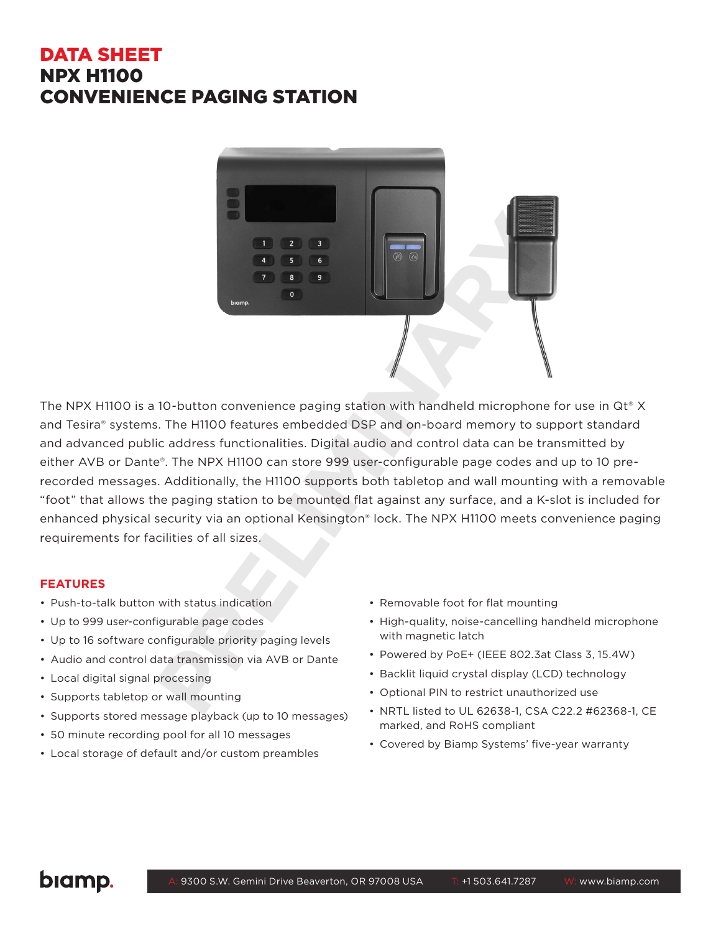## DATA SHEET NPX H1100 CONVENIENCE PAGING STATION



The NPX H1100 is a 10-button convenience paging station with handheld microphone for use in Qt® X and Tesira® systems. The H1100 features embedded DSP and on-board memory to support standard and advanced public address functionalities. Digital audio and control data can be transmitted by either AVB or Dante®. The NPX H1100 can store 999 user-configurable page codes and up to 10 prerecorded messages. Additionally, the H1100 supports both tabletop and wall mounting with a removable "foot" that allows the paging station to be mounted flat against any surface, and a K-slot is included for enhanced physical security via an optional Kensington® lock. The NPX H1100 meets convenience paging requirements for facilities of all sizes.

### **FEATURES**

- Push-to-talk button with status indication
- Up to 999 user-configurable page codes
- Up to 16 software configurable priority paging levels
- Audio and control data transmission via AVB or Dante
- Local digital signal processing
- Supports tabletop or wall mounting
- Supports stored message playback (up to 10 messages)
- 50 minute recording pool for all 10 messages
- Local storage of default and/or custom preambles
- Removable foot for flat mounting
- High-quality, noise-cancelling handheld microphone with magnetic latch
- Powered by PoE+ (IEEE 802.3at Class 3, 15.4W)
- Backlit liquid crystal display (LCD) technology
- Optional PIN to restrict unauthorized use
- NRTL listed to UL 62638-1, CSA C22.2 #62368-1, CE marked, and RoHS compliant
- Covered by Biamp Systems' five-year warranty

# biamp.